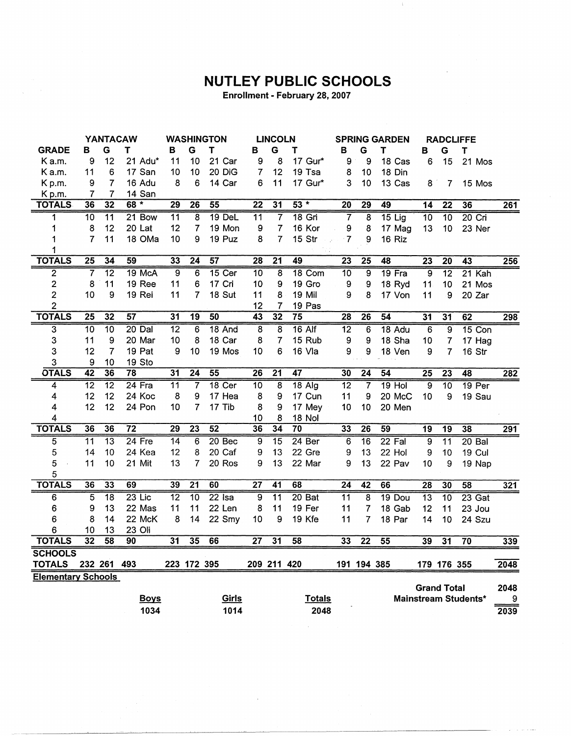## **NUTLEY PUBLIC SCHOOLS**

Enrollment - February 28, 2007

|                           | <b>YANTACAW</b> |                 |                 | <b>WASHINGTON</b> |                 |                   | <b>LINCOLN</b>  |                         |                 | <b>SPRING GARDEN</b> |                 | <b>RADCLIFFE</b> |                    |                 |                      |      |
|---------------------------|-----------------|-----------------|-----------------|-------------------|-----------------|-------------------|-----------------|-------------------------|-----------------|----------------------|-----------------|------------------|--------------------|-----------------|----------------------|------|
| <b>GRADE</b>              | в               | G               | т               | в                 | G               | T                 | В               | G                       | т               | В                    | G               | т                | в                  | G               | $\mathsf T$          |      |
| K a.m.                    | 9               | 12              | 21 Adu*         | 11                | 10              | 21 Car            | 9               | 8                       | 17 Gur*         | 9                    | 9               | 18 Cas           | 6                  | 15              | 21 Mos               |      |
| K a.m.                    | 11              | 6               | 17 San          | 10                | 10              | 20 DiG            | $\overline{7}$  | 12                      | 19 Tsa          | 8                    | 10              | 18 Din           |                    |                 |                      |      |
| Kp.m.                     | 9               | $\overline{7}$  | 16 Adu          | 8                 | 6               | 14 Car            | 6               | 11                      | 17 Gur*         | 3                    | 10              | 13 Cas           | 8                  | 7               | 15 Mos               |      |
| Kp.m.                     | 7               | 7               | 14 San          |                   |                 |                   |                 |                         |                 |                      |                 |                  |                    |                 |                      |      |
| <b>TOTALS</b>             | 36              | 32              | $\ast$<br>68    | 29                | $\overline{26}$ | 55                | $\overline{22}$ | $\overline{31}$         | $53 *$          | $\overline{20}$      | $\overline{29}$ | 49               | 14                 | $\overline{22}$ | 36                   | 261  |
| 1                         | 10              | $\overline{11}$ | 21 Bow          | 11                | 8               | 19 DeL            | $\overline{11}$ | 7                       | $18$ Gri        | 7                    | 8               | $15$ Lig         | 10                 | $\overline{10}$ | $20$ Cri             |      |
| 1                         | 8               | 12              | 20 Lat          | 12                | $\overline{7}$  | 19 Mon            | 9               | $\overline{7}$          | 16 Kor          | 9                    | 8               | 17 Mag           | 13                 | 10              | 23 Ner               |      |
| 1                         | $\overline{7}$  | 11              | 18 OMa          | 10                | 9               | 19 Puz            | 8               | $\overline{7}$          | 15 Str          | $\overline{7}$       | 9               | 16 Riz           |                    |                 |                      |      |
| 1                         |                 |                 |                 |                   |                 |                   |                 |                         |                 |                      |                 |                  |                    |                 |                      |      |
| <b>TOTALS</b>             | $\overline{25}$ | 34              | 59              | 33                | $\overline{24}$ | 57                | $\overline{28}$ | $\overline{21}$         | 49              | $\overline{23}$      | $\overline{25}$ | 48               | $\overline{23}$    | $\overline{20}$ | 43                   | 256  |
| $\overline{2}$            | 7               | $\overline{12}$ | 19 McA          | $\overline{9}$    | $\overline{6}$  | $15$ Cer          | 10              | $\overline{\mathbf{8}}$ | 18 Com          | 10                   | $\overline{9}$  | 19 Fra           | $\overline{9}$     | $\overline{12}$ | $21$ Kah             |      |
| $\overline{c}$            | 8               | 11              | 19 Ree          | 11                | 6               | 17 Cri            | 10              | 9                       | 19 Gro          | 9                    | 9               | 18 Ryd           | 11                 | 10              | 21 Mos               |      |
| $\overline{2}$            | 10              | 9               | 19 Rei          | 11                | $\overline{7}$  | 18 Sut            | 11              | 8                       | 19 Mil          | 9                    | 8               | 17 Von           | 11                 | 9               | 20 Zar               |      |
| $\overline{2}$            |                 |                 |                 |                   |                 |                   | 12              | $\overline{7}$          | 19 Pas          |                      |                 |                  |                    |                 |                      |      |
| <b>TOTALS</b>             | $\overline{25}$ | $\overline{32}$ | 57              | 31                | 19              | 50                | 43              | $\overline{32}$         | $\overline{75}$ | $\overline{28}$      | 26              | 54               | $\overline{31}$    | 31              | 62                   | 298  |
| $\overline{3}$            | $\overline{10}$ | 10              | $20$ Dal        | $\overline{12}$   | 6               | 18 And            | $\overline{8}$  | $\overline{8}$          | $16$ Alf        | $\overline{12}$      | $\overline{6}$  | 18 Adu           | $\overline{6}$     | $\overline{9}$  | $15$ Con             |      |
| 3                         | 11              | 9               | 20 Mar          | 10                | 8               | 18 Car            | 8               | $\overline{7}$          | 15 Rub          | 9                    | 9               | 18 Sha           | 10                 | 7               | 17 Hag               |      |
| 3                         | 12              | $\overline{7}$  | 19 Pat          | 9                 | 10              | 19 Mos            | 10              | 6                       | 16 Vla          | 9                    | 9               | 18 Ven           | 9                  | 7               | 16 Str               |      |
| 3                         | 9               | 10              | 19 Sto          |                   |                 |                   |                 |                         |                 |                      |                 |                  |                    |                 |                      |      |
| <b>OTALS</b>              | $\overline{42}$ | 36              | 78              | 31                | $\overline{24}$ | 55                | $\overline{26}$ | $\overline{21}$         | 47              | 30                   | $\overline{24}$ | 54               | $\overline{25}$    | $\overline{23}$ | 48                   | 282  |
| 4                         | $\overline{12}$ | $\overline{12}$ | $24$ Fra        | $\overline{11}$   | 7               | 18 <sub>cer</sub> | $\overline{10}$ | $\overline{8}$          | $18$ Alg        | $\overline{12}$      | $\overline{7}$  | $19$ Hol         | $\overline{9}$     | $\overline{10}$ | 19 <sub>Per</sub>    |      |
| 4                         | 12              | 12              | 24 Koc          | 8                 | 9               | 17 Hea            | 8               | 9                       | 17 Cun          | 11                   | 9               | 20 McC           | 10                 | 9               | 19 Sau               |      |
| 4                         | 12              | 12              | 24 Pon          | 10                | 7               | 17 Tib            | 8               | 9                       | 17 Mey          | 10                   | 10              | 20 Men           |                    |                 |                      |      |
| 4                         |                 |                 |                 |                   |                 |                   | 10              | 8                       | 18 Nol          |                      |                 |                  |                    |                 |                      |      |
| <b>TOTALS</b>             | 36              | 36              | $\overline{72}$ | 29                | $\overline{23}$ | $\overline{52}$   | 36              | 34                      | $\overline{70}$ | 33                   | $\overline{26}$ | 59               | $\overline{19}$    | $\overline{19}$ | 38                   | 291  |
| 5                         | $\overline{11}$ | $\overline{13}$ | 24 Fre          | $\overline{14}$   | $6\phantom{1}6$ | 20 <sub>Bec</sub> | $\overline{9}$  | $\overline{15}$         | 24 Ber          | 6                    | $\overline{16}$ | $22$ Fal         | $\overline{9}$     | $\overline{11}$ | $20$ Bal             |      |
| 5                         | 14              | 10              | 24 Kea          | 12                | 8               | 20 Caf            | 9               | 13                      | 22 Gre          | 9                    | 13              | 22 Hol           | 9                  | 10              | <b>19 Cul</b>        |      |
| 5                         | 11              | 10              | 21 Mit          | 13                | 7               | 20 Ros            | 9               | 13                      | 22 Mar          | 9                    | 13              | 22 Pav           | 10                 | 9               | 19 Nap               |      |
| 5                         |                 |                 |                 |                   |                 |                   |                 |                         |                 |                      |                 |                  |                    |                 |                      |      |
| <b>TOTALS</b>             | 36              | 33              | 69              | 39                | $\overline{21}$ | 60                | $\overline{27}$ | $\overline{41}$         | 68              | $\overline{24}$      | $\overline{42}$ | 66               | $\overline{28}$    | 30              | 58                   | 321  |
| $\overline{6}$            | $\overline{5}$  | $\overline{18}$ | $23$ Lic        | $\overline{12}$   | $\overline{10}$ | $22$ Isa          | $\overline{9}$  | $\overline{11}$         | 20Bat           | $\overline{11}$      | 8               | 19 Dou           | $\overline{13}$    | 10              | $23$ Gat             |      |
| 6                         | 9               | 13              | 22 Mas          | 11                | 11              | 22 Len            | 8               | 11                      | 19 Fer          | 11                   | 7               | 18 Gab           | 12                 | 11              | 23 Jou               |      |
| 6                         | 8               | 14              | 22 McK          | 8                 | 14              | 22 Smy            | 10              | 9                       | 19 Kfe          | 11                   | 7               | 18 Par           | 14                 | 10              | 24 Szu               |      |
| 6                         | 10              | 13              | 23 Oli          |                   |                 |                   |                 |                         |                 |                      |                 |                  |                    |                 |                      |      |
| <b>TOTALS</b>             | 32              | 58              | 90              | $\overline{31}$   | 35              | 66                | 27              | $\overline{31}$         | 58              | 33                   | 22              | 55               | 39                 | $\overline{31}$ | 70                   | 339  |
| <b>SCHOOLS</b>            |                 |                 |                 |                   |                 |                   |                 |                         |                 |                      |                 |                  |                    |                 |                      |      |
| <b>TOTALS</b>             |                 | 232 261 493     |                 |                   | 223 172 395     |                   |                 | 209 211 420             |                 |                      | 191 194 385     |                  |                    | 179 176 355     |                      | 2048 |
| <b>Elementary Schools</b> |                 |                 |                 |                   |                 |                   |                 |                         |                 |                      |                 |                  |                    |                 |                      |      |
|                           |                 |                 |                 |                   |                 |                   |                 |                         |                 |                      |                 |                  | <b>Grand Total</b> |                 |                      | 2048 |
|                           |                 |                 | <b>Boys</b>     |                   |                 | Girls             |                 |                         | <b>Totals</b>   |                      |                 |                  |                    |                 | Mainstream Students* | 9    |
|                           |                 |                 | 1034            |                   |                 | 1014              |                 |                         | 2048            |                      |                 |                  |                    |                 |                      | 2039 |

 $\alpha$